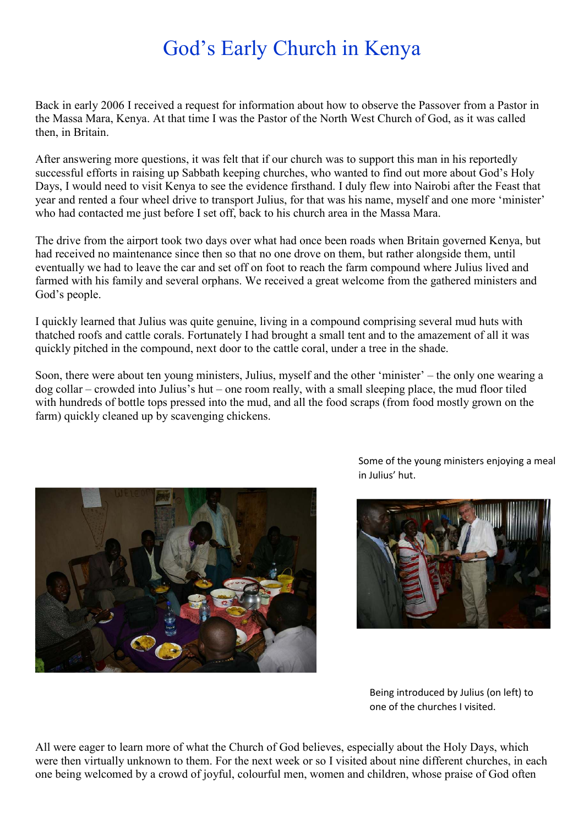## God's Early Church in Kenya

Back in early 2006 I received a request for information about how to observe the Passover from a Pastor in the Massa Mara, Kenya. At that time I was the Pastor of the North West Church of God, as it was called then, in Britain.

After answering more questions, it was felt that if our church was to support this man in his reportedly successful efforts in raising up Sabbath keeping churches, who wanted to find out more about God's Holy Days, I would need to visit Kenya to see the evidence firsthand. I duly flew into Nairobi after the Feast that year and rented a four wheel drive to transport Julius, for that was his name, myself and one more 'minister' who had contacted me just before I set off, back to his church area in the Massa Mara.

The drive from the airport took two days over what had once been roads when Britain governed Kenya, but had received no maintenance since then so that no one drove on them, but rather alongside them, until eventually we had to leave the car and set off on foot to reach the farm compound where Julius lived and farmed with his family and several orphans. We received a great welcome from the gathered ministers and God's people.

I quickly learned that Julius was quite genuine, living in a compound comprising several mud huts with thatched roofs and cattle corals. Fortunately I had brought a small tent and to the amazement of all it was quickly pitched in the compound, next door to the cattle coral, under a tree in the shade.

Soon, there were about ten young ministers, Julius, myself and the other 'minister' – the only one wearing a dog collar – crowded into Julius's hut – one room really, with a small sleeping place, the mud floor tiled with hundreds of bottle tops pressed into the mud, and all the food scraps (from food mostly grown on the farm) quickly cleaned up by scavenging chickens.



Some of the young ministers enjoying a meal in Julius' hut.



Being introduced by Julius (on left) to one of the churches I visited.

All were eager to learn more of what the Church of God believes, especially about the Holy Days, which were then virtually unknown to them. For the next week or so I visited about nine different churches, in each one being welcomed by a crowd of joyful, colourful men, women and children, whose praise of God often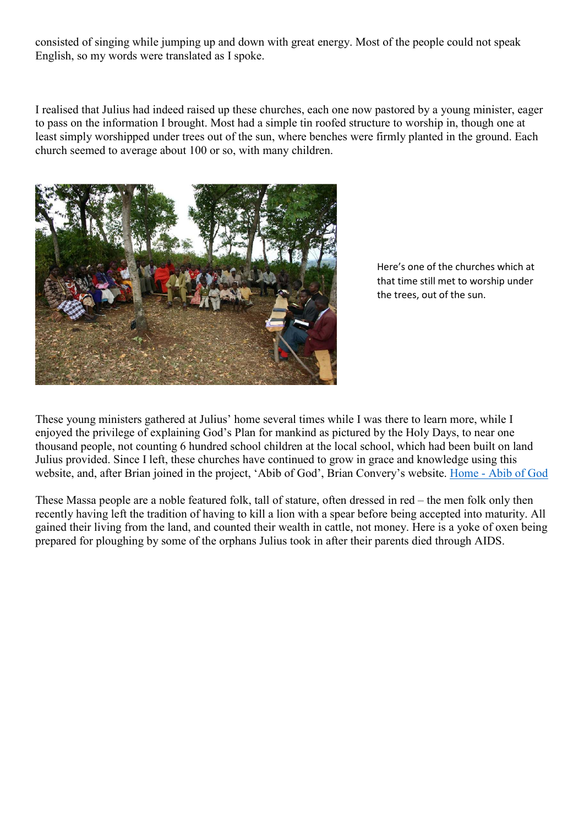consisted of singing while jumping up and down with great energy. Most of the people could not speak English, so my words were translated as I spoke.

I realised that Julius had indeed raised up these churches, each one now pastored by a young minister, eager to pass on the information I brought. Most had a simple tin roofed structure to worship in, though one at least simply worshipped under trees out of the sun, where benches were firmly planted in the ground. Each church seemed to average about 100 or so, with many children.



Here's one of the churches which at that time still met to worship under the trees, out of the sun.

These young ministers gathered at Julius' home several times while I was there to learn more, while I enjoyed the privilege of explaining God's Plan for mankind as pictured by the Holy Days, to near one thousand people, not counting 6 hundred school children at the local school, which had been built on land Julius provided. Since I left, these churches have continued to grow in grace and knowledge using this website, and, after Brian joined in the project, 'Abib of God', Brian Convery's website. Home - Abib of God

These Massa people are a noble featured folk, tall of stature, often dressed in red – the men folk only then recently having left the tradition of having to kill a lion with a spear before being accepted into maturity. All gained their living from the land, and counted their wealth in cattle, not money. Here is a yoke of oxen being prepared for ploughing by some of the orphans Julius took in after their parents died through AIDS.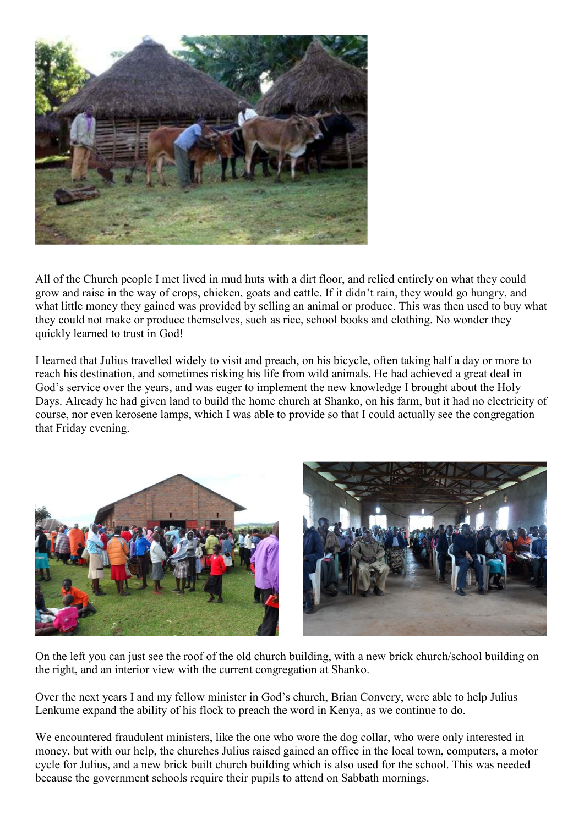

All of the Church people I met lived in mud huts with a dirt floor, and relied entirely on what they could grow and raise in the way of crops, chicken, goats and cattle. If it didn't rain, they would go hungry, and what little money they gained was provided by selling an animal or produce. This was then used to buy what they could not make or produce themselves, such as rice, school books and clothing. No wonder they quickly learned to trust in God!

I learned that Julius travelled widely to visit and preach, on his bicycle, often taking half a day or more to reach his destination, and sometimes risking his life from wild animals. He had achieved a great deal in God's service over the years, and was eager to implement the new knowledge I brought about the Holy Days. Already he had given land to build the home church at Shanko, on his farm, but it had no electricity of course, nor even kerosene lamps, which I was able to provide so that I could actually see the congregation that Friday evening.



On the left you can just see the roof of the old church building, with a new brick church/school building on the right, and an interior view with the current congregation at Shanko.

Over the next years I and my fellow minister in God's church, Brian Convery, were able to help Julius Lenkume expand the ability of his flock to preach the word in Kenya, as we continue to do.

We encountered fraudulent ministers, like the one who wore the dog collar, who were only interested in money, but with our help, the churches Julius raised gained an office in the local town, computers, a motor cycle for Julius, and a new brick built church building which is also used for the school. This was needed because the government schools require their pupils to attend on Sabbath mornings.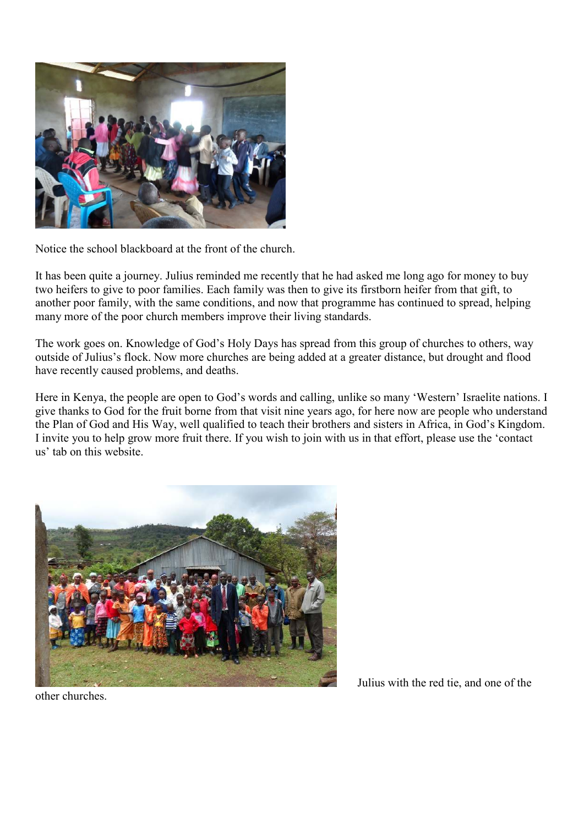

Notice the school blackboard at the front of the church.

It has been quite a journey. Julius reminded me recently that he had asked me long ago for money to buy two heifers to give to poor families. Each family was then to give its firstborn heifer from that gift, to another poor family, with the same conditions, and now that programme has continued to spread, helping many more of the poor church members improve their living standards.

The work goes on. Knowledge of God's Holy Days has spread from this group of churches to others, way outside of Julius's flock. Now more churches are being added at a greater distance, but drought and flood have recently caused problems, and deaths.

Here in Kenya, the people are open to God's words and calling, unlike so many 'Western' Israelite nations. I give thanks to God for the fruit borne from that visit nine years ago, for here now are people who understand the Plan of God and His Way, well qualified to teach their brothers and sisters in Africa, in God's Kingdom. I invite you to help grow more fruit there. If you wish to join with us in that effort, please use the 'contact us' tab on this website.



Julius with the red tie, and one of the

other churches.